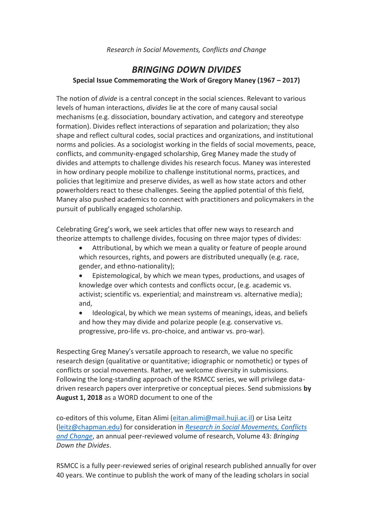## *Research in Social Movements, Conflicts and Change*

## *BRINGING DOWN DIVIDES* **Special Issue Commemorating the Work of Gregory Maney (1967 – 2017)**

The notion of *divide* is a central concept in the social sciences. Relevant to various levels of human interactions, *divides* lie at the core of many causal social mechanisms (e.g. dissociation, boundary activation, and category and stereotype formation). Divides reflect interactions of separation and polarization; they also shape and reflect cultural codes, social practices and organizations, and institutional norms and policies. As a sociologist working in the fields of social movements, peace, conflicts, and community-engaged scholarship, Greg Maney made the study of divides and attempts to challenge divides his research focus. Maney was interested in how ordinary people mobilize to challenge institutional norms, practices, and policies that legitimize and preserve divides, as well as how state actors and other powerholders react to these challenges. Seeing the applied potential of this field, Maney also pushed academics to connect with practitioners and policymakers in the pursuit of publically engaged scholarship.

Celebrating Greg's work, we seek articles that offer new ways to research and theorize attempts to challenge divides, focusing on three major types of divides:

- Attributional, by which we mean a quality or feature of people around which resources, rights, and powers are distributed unequally (e.g. race, gender, and ethno-nationality);
- Epistemological, by which we mean types, productions, and usages of knowledge over which contests and conflicts occur, (e.g. academic vs. activist; scientific vs. experiential; and mainstream vs. alternative media); and,
- Ideological, by which we mean systems of meanings, ideas, and beliefs and how they may divide and polarize people (e.g. conservative vs. progressive, pro-life vs. pro-choice, and antiwar vs. pro-war).

Respecting Greg Maney's versatile approach to research, we value no specific research design (qualitative or quantitative; idiographic or nomothetic) or types of conflicts or social movements. Rather, we welcome diversity in submissions. Following the long-standing approach of the RSMCC series, we will privilege datadriven research papers over interpretive or conceptual pieces. Send submissions **by August 1, 2018** as a WORD document to one of the

co-editors of this volume, Eitan Alimi [\(eitan.alimi@mail.huji.ac.il\)](mailto:eitan.alimi@mail.huji.ac.il) or Lisa Leitz [\(leitz@chapman.edu\)](mailto:leitz@chapman.edu) for consideration in *[Research in Social Movements, Conflicts](http://www.emeraldgrouppublishing.com/products/books/series.htm?id=0163-786X)  [and Change](http://www.emeraldgrouppublishing.com/products/books/series.htm?id=0163-786X)*, an annual peer-reviewed volume of research, Volume 43: *Bringing Down the Divides*.

RSMCC is a fully peer-reviewed series of original research published annually for over 40 years. We continue to publish the work of many of the leading scholars in social